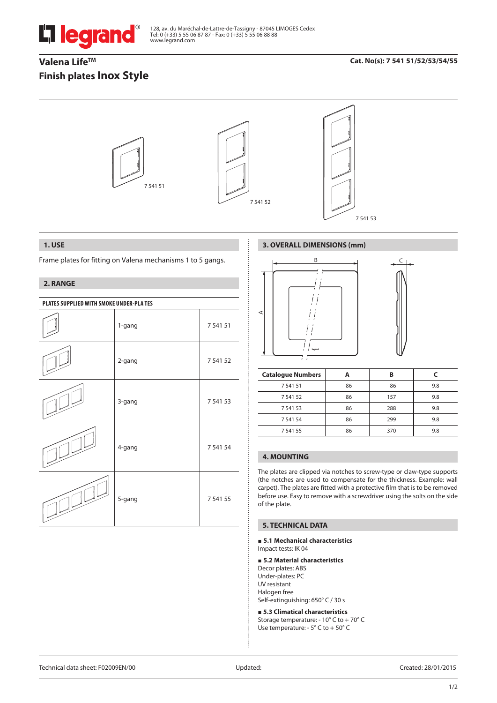

128, av. du Maréchal-de-Lattre-de-Tassigny - 87045 LIMOGES Cedex Tel: 0 (+33) 5 55 06 87 87 - Fax: 0 (+33) 5 55 06 88 88 www.legrand.com

# Valena Life<sup>™</sup> **Finish plates Inox Style**

## **Cat. No(s): 7 541 51/52/53/54/55**



## **1. USE**

Frame plates for fitting on Valena mechanisms 1 to 5 gangs.

## **2. RANGE**

| PLATES SUPPLIED WITH SMOKE UNDER-PLA TES |        |          |  |
|------------------------------------------|--------|----------|--|
|                                          | 1-gang | 7 541 51 |  |
|                                          | 2-gang | 7 541 52 |  |
|                                          | 3-gang | 7 541 53 |  |
|                                          | 4-gang | 7 541 54 |  |
|                                          | 5-gang | 7 541 55 |  |

# **3. OVERALL DIMENSIONS (mm)**



| <b>Catalogue Numbers</b> |    | в   |     |
|--------------------------|----|-----|-----|
| 7 541 51                 | 86 | 86  | 9.8 |
| 7 541 52                 | 86 | 157 | 9.8 |
| 7 541 53                 | 86 | 288 | 9.8 |
| 7 541 54                 | 86 | 299 | 9.8 |
| 7 541 55                 | 86 | 370 | 9.8 |

# **4. MOUNTING**

The plates are clipped via notches to screw-type or claw-type supports (the notches are used to compensate for the thickness. Example: wall carpet). The plates are fitted with a protective film that is to be removed before use. Easy to remove with a screwdriver using the solts on the side of the plate.

### **5. TECHNICAL DATA**

#### **5.1 Mechanical characteristics** Impact tests: IK 04

### **5.2 Material characteristics**

Decor plates: ABS Under-plates: PC UV resistant Halogen free Self-extinguishing: 650° C / 30 s

 **5.3 Climatical characteristics** Storage temperature: - 10° C to + 70° C Use temperature: - 5° C to + 50° C

Technical data sheet: F02009EN/00 Updated: Created: 28/01/2015